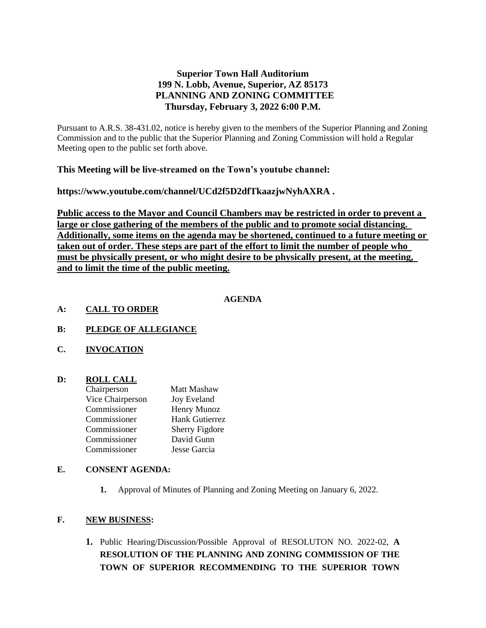# **Superior Town Hall Auditorium 199 N. Lobb, Avenue, Superior, AZ 85173 PLANNING AND ZONING COMMITTEE Thursday, February 3, 2022 6:00 P.M.**

Pursuant to A.R.S. 38-431.02, notice is hereby given to the members of the Superior Planning and Zoning Commission and to the public that the Superior Planning and Zoning Commission will hold a Regular Meeting open to the public set forth above.

# **This Meeting will be live-streamed on the Town's youtube channel:**

**https://www.youtube.com/channel/UCd2f5D2dfTkaazjwNyhAXRA .** 

**Public access to the Mayor and Council Chambers may be restricted in order to prevent a large or close gathering of the members of the public and to promote social distancing. Additionally, some items on the agenda may be shortened, continued to a future meeting or taken out of order. These steps are part of the effort to limit the number of people who must be physically present, or who might desire to be physically present, at the meeting, and to limit the time of the public meeting.**

## **AGENDA**

#### **A: CALL TO ORDER**

- **B: PLEDGE OF ALLEGIANCE**
- **C. INVOCATION**

## **D: ROLL CALL**

| <b>Matt Mashaw</b>    |
|-----------------------|
| <b>Joy Eveland</b>    |
| Henry Munoz           |
| <b>Hank Gutierrez</b> |
| <b>Sherry Figdore</b> |
| David Gunn            |
| Jesse Garcia          |
|                       |

## **E. CONSENT AGENDA:**

**1.** Approval of Minutes of Planning and Zoning Meeting on January 6, 2022.

## **F. NEW BUSINESS:**

**1.** Public Hearing/Discussion/Possible Approval of RESOLUTON NO. 2022-02, **A RESOLUTION OF THE PLANNING AND ZONING COMMISSION OF THE TOWN OF SUPERIOR RECOMMENDING TO THE SUPERIOR TOWN**